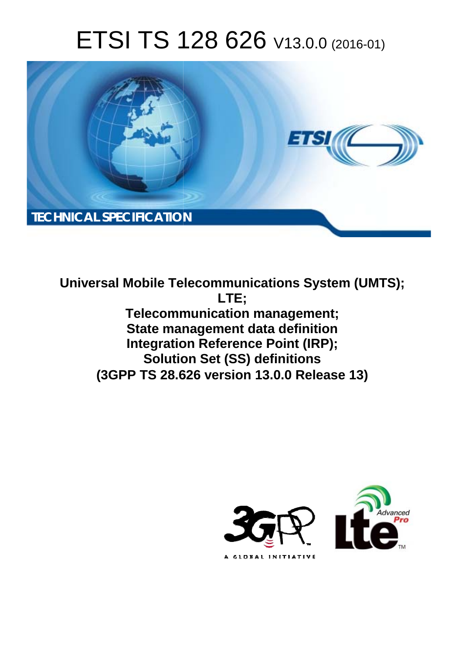# ETSI TS 128 626 V13.0.0 (2016-01)



**Universal Mobile Tel elecommunications System ( (UMTS); Telecomm munication management; State man anagement data definition Integration Reference Point (IRP); Solutio tion Set (SS) definitions (3GPP TS 28.6 .626 version 13.0.0 Release 13 13) LTE;** 

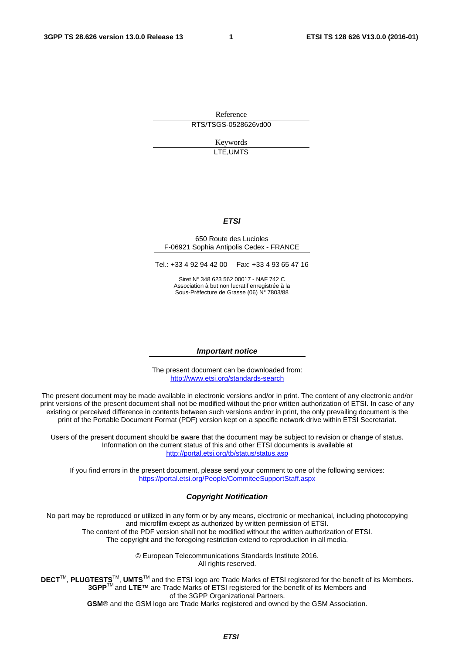Reference RTS/TSGS-0528626vd00

> Keywords LTE,UMTS

#### *ETSI*

#### 650 Route des Lucioles F-06921 Sophia Antipolis Cedex - FRANCE

Tel.: +33 4 92 94 42 00 Fax: +33 4 93 65 47 16

Siret N° 348 623 562 00017 - NAF 742 C Association à but non lucratif enregistrée à la Sous-Préfecture de Grasse (06) N° 7803/88

#### *Important notice*

The present document can be downloaded from: <http://www.etsi.org/standards-search>

The present document may be made available in electronic versions and/or in print. The content of any electronic and/or print versions of the present document shall not be modified without the prior written authorization of ETSI. In case of any existing or perceived difference in contents between such versions and/or in print, the only prevailing document is the print of the Portable Document Format (PDF) version kept on a specific network drive within ETSI Secretariat.

Users of the present document should be aware that the document may be subject to revision or change of status. Information on the current status of this and other ETSI documents is available at <http://portal.etsi.org/tb/status/status.asp>

If you find errors in the present document, please send your comment to one of the following services: <https://portal.etsi.org/People/CommiteeSupportStaff.aspx>

#### *Copyright Notification*

No part may be reproduced or utilized in any form or by any means, electronic or mechanical, including photocopying and microfilm except as authorized by written permission of ETSI.

The content of the PDF version shall not be modified without the written authorization of ETSI. The copyright and the foregoing restriction extend to reproduction in all media.

> © European Telecommunications Standards Institute 2016. All rights reserved.

**DECT**TM, **PLUGTESTS**TM, **UMTS**TM and the ETSI logo are Trade Marks of ETSI registered for the benefit of its Members. **3GPP**TM and **LTE**™ are Trade Marks of ETSI registered for the benefit of its Members and of the 3GPP Organizational Partners.

**GSM**® and the GSM logo are Trade Marks registered and owned by the GSM Association.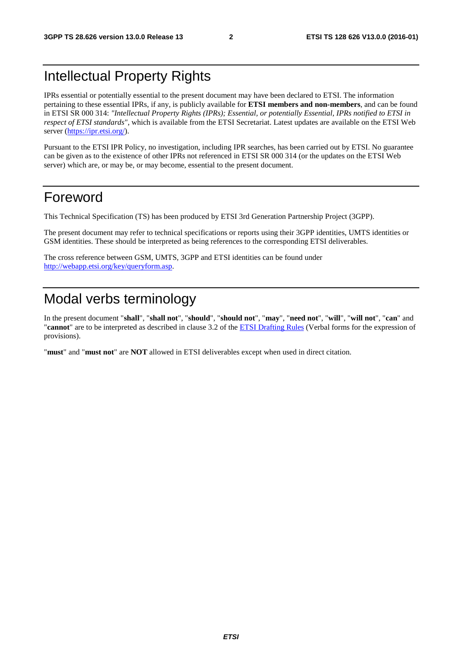#### Intellectual Property Rights

IPRs essential or potentially essential to the present document may have been declared to ETSI. The information pertaining to these essential IPRs, if any, is publicly available for **ETSI members and non-members**, and can be found in ETSI SR 000 314: *"Intellectual Property Rights (IPRs); Essential, or potentially Essential, IPRs notified to ETSI in respect of ETSI standards"*, which is available from the ETSI Secretariat. Latest updates are available on the ETSI Web server ([https://ipr.etsi.org/\)](https://ipr.etsi.org/).

Pursuant to the ETSI IPR Policy, no investigation, including IPR searches, has been carried out by ETSI. No guarantee can be given as to the existence of other IPRs not referenced in ETSI SR 000 314 (or the updates on the ETSI Web server) which are, or may be, or may become, essential to the present document.

#### Foreword

This Technical Specification (TS) has been produced by ETSI 3rd Generation Partnership Project (3GPP).

The present document may refer to technical specifications or reports using their 3GPP identities, UMTS identities or GSM identities. These should be interpreted as being references to the corresponding ETSI deliverables.

The cross reference between GSM, UMTS, 3GPP and ETSI identities can be found under [http://webapp.etsi.org/key/queryform.asp.](http://webapp.etsi.org/key/queryform.asp)

#### Modal verbs terminology

In the present document "**shall**", "**shall not**", "**should**", "**should not**", "**may**", "**need not**", "**will**", "**will not**", "**can**" and "**cannot**" are to be interpreted as described in clause 3.2 of the [ETSI Drafting Rules](http://portal.etsi.org/Help/editHelp!/Howtostart/ETSIDraftingRules.aspx) (Verbal forms for the expression of provisions).

"**must**" and "**must not**" are **NOT** allowed in ETSI deliverables except when used in direct citation.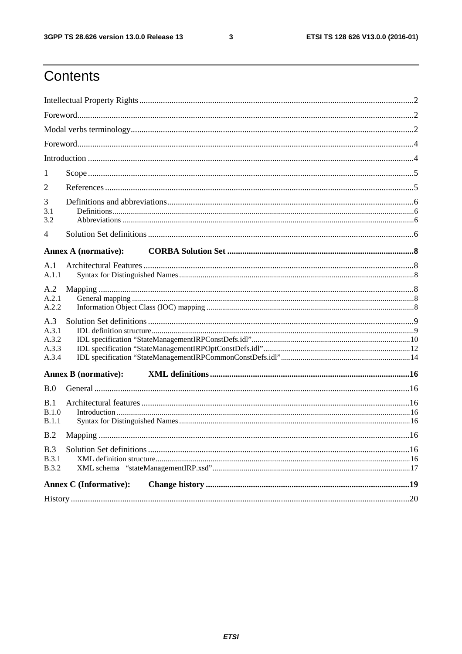$\mathbf{3}$ 

## Contents

| 3<br>3.1<br>3.2                         |  |  |  |  |  |  |
|-----------------------------------------|--|--|--|--|--|--|
| $\overline{4}$                          |  |  |  |  |  |  |
| <b>Annex A (normative):</b>             |  |  |  |  |  |  |
| A.1                                     |  |  |  |  |  |  |
| A.1.1                                   |  |  |  |  |  |  |
| A.2<br>A.2.1<br>A.2.2                   |  |  |  |  |  |  |
| A.3<br>A.3.1<br>A.3.2<br>A.3.3<br>A.3.4 |  |  |  |  |  |  |
| <b>Annex B</b> (normative):             |  |  |  |  |  |  |
| B.0                                     |  |  |  |  |  |  |
| B.1<br>B.1.0<br>B.1.1                   |  |  |  |  |  |  |
| B.2                                     |  |  |  |  |  |  |
| B.3<br><b>B.3.1</b><br><b>B.3.2</b>     |  |  |  |  |  |  |
| <b>Annex C</b> (Informative):           |  |  |  |  |  |  |
|                                         |  |  |  |  |  |  |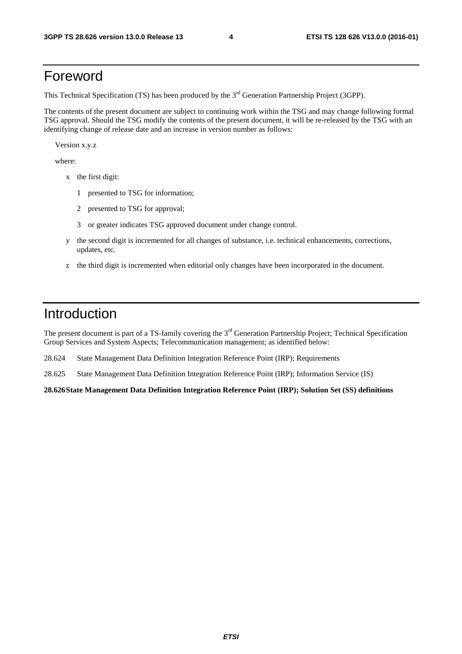#### Foreword

This Technical Specification (TS) has been produced by the 3<sup>rd</sup> Generation Partnership Project (3GPP).

The contents of the present document are subject to continuing work within the TSG and may change following formal TSG approval. Should the TSG modify the contents of the present document, it will be re-released by the TSG with an identifying change of release date and an increase in version number as follows:

Version x.y.z

where:

- x the first digit:
	- 1 presented to TSG for information;
	- 2 presented to TSG for approval;
	- 3 or greater indicates TSG approved document under change control.
- y the second digit is incremented for all changes of substance, i.e. technical enhancements, corrections, updates, etc.
- z the third digit is incremented when editorial only changes have been incorporated in the document.

#### Introduction

The present document is part of a TS-family covering the 3<sup>rd</sup> Generation Partnership Project; Technical Specification Group Services and System Aspects; Telecommunication management; as identified below:

28.624 State Management Data Definition Integration Reference Point (IRP); Requirements

28.625 State Management Data Definition Integration Reference Point (IRP); Information Service (IS)

**28.626 State Management Data Definition Integration Reference Point (IRP); Solution Set (SS) definitions**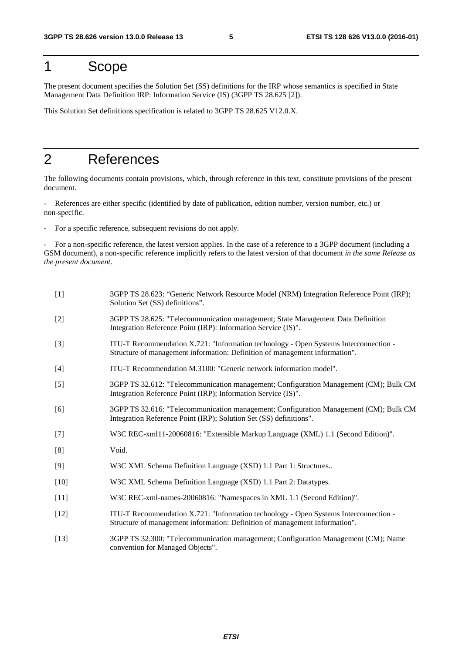### 1 Scope

The present document specifies the Solution Set (SS) definitions for the IRP whose semantics is specified in State Management Data Definition IRP: Information Service (IS) (3GPP TS 28.625 [2]).

This Solution Set definitions specification is related to 3GPP TS 28.625 V12.0.X.

#### 2 References

The following documents contain provisions, which, through reference in this text, constitute provisions of the present document.

- References are either specific (identified by date of publication, edition number, version number, etc.) or non-specific.

- For a specific reference, subsequent revisions do not apply.

- For a non-specific reference, the latest version applies. In the case of a reference to a 3GPP document (including a GSM document), a non-specific reference implicitly refers to the latest version of that document *in the same Release as the present document*.

| $[1]$  | 3GPP TS 28.623: "Generic Network Resource Model (NRM) Integration Reference Point (IRP);<br>Solution Set (SS) definitions".                                         |
|--------|---------------------------------------------------------------------------------------------------------------------------------------------------------------------|
| $[2]$  | 3GPP TS 28.625: "Telecommunication management; State Management Data Definition<br>Integration Reference Point (IRP): Information Service (IS)".                    |
| $[3]$  | ITU-T Recommendation X.721: "Information technology - Open Systems Interconnection -<br>Structure of management information: Definition of management information". |
| $[4]$  | ITU-T Recommendation M.3100: "Generic network information model".                                                                                                   |
| $[5]$  | 3GPP TS 32.612: "Telecommunication management; Configuration Management (CM); Bulk CM<br>Integration Reference Point (IRP); Information Service (IS)".              |
| [6]    | 3GPP TS 32.616: "Telecommunication management; Configuration Management (CM); Bulk CM<br>Integration Reference Point (IRP); Solution Set (SS) definitions".         |
| $[7]$  | W3C REC-xml11-20060816: "Extensible Markup Language (XML) 1.1 (Second Edition)".                                                                                    |
| [8]    | Void.                                                                                                                                                               |
| [9]    | W3C XML Schema Definition Language (XSD) 1.1 Part 1: Structures                                                                                                     |
| $[10]$ | W3C XML Schema Definition Language (XSD) 1.1 Part 2: Datatypes.                                                                                                     |
| $[11]$ | W3C REC-xml-names-20060816: "Namespaces in XML 1.1 (Second Edition)".                                                                                               |
| $[12]$ | ITU-T Recommendation X.721: "Information technology - Open Systems Interconnection -<br>Structure of management information: Definition of management information". |
| $[13]$ | 3GPP TS 32.300: "Telecommunication management; Configuration Management (CM); Name<br>convention for Managed Objects".                                              |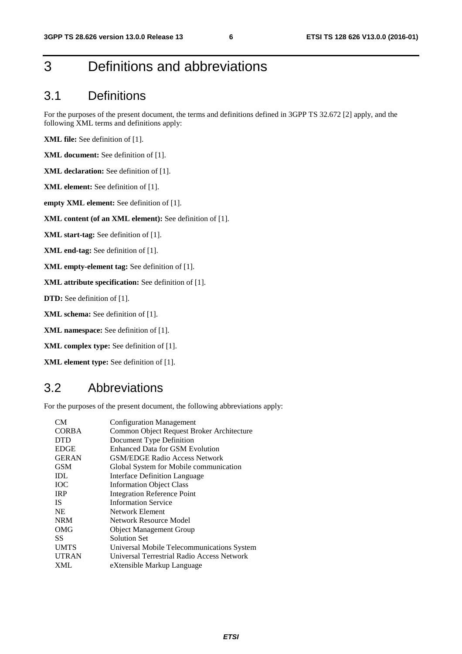#### 3 Definitions and abbreviations

#### 3.1 Definitions

For the purposes of the present document, the terms and definitions defined in 3GPP TS 32.672 [2] apply, and the following XML terms and definitions apply:

**XML file:** See definition of [1].

**XML document:** See definition of [1].

**XML declaration:** See definition of [1].

**XML element:** See definition of [1].

**empty XML element:** See definition of [1].

**XML content (of an XML element):** See definition of [1].

**XML start-tag:** See definition of [1].

**XML end-tag:** See definition of [1].

**XML empty-element tag:** See definition of [1].

**XML attribute specification:** See definition of [1].

**DTD:** See definition of [1].

**XML schema:** See definition of [1].

**XML namespace:** See definition of [1].

**XML complex type:** See definition of [1].

**XML element type:** See definition of [1].

#### 3.2 Abbreviations

For the purposes of the present document, the following abbreviations apply:

| CM <sub></sub> | <b>Configuration Management</b>            |
|----------------|--------------------------------------------|
| <b>CORBA</b>   | Common Object Request Broker Architecture  |
| <b>DTD</b>     | Document Type Definition                   |
| <b>EDGE</b>    | Enhanced Data for GSM Evolution            |
| <b>GERAN</b>   | <b>GSM/EDGE Radio Access Network</b>       |
| <b>GSM</b>     | Global System for Mobile communication     |
| IDL            | Interface Definition Language              |
| <b>TOC</b>     | <b>Information Object Class</b>            |
| <b>IRP</b>     | <b>Integration Reference Point</b>         |
| <b>IS</b>      | <b>Information Service</b>                 |
| <b>NE</b>      | Network Element                            |
| <b>NRM</b>     | Network Resource Model                     |
| OMG            | <b>Object Management Group</b>             |
| SS             | Solution Set                               |
| <b>UMTS</b>    | Universal Mobile Telecommunications System |
| <b>UTRAN</b>   | Universal Terrestrial Radio Access Network |
| XML            | eXtensible Markup Language                 |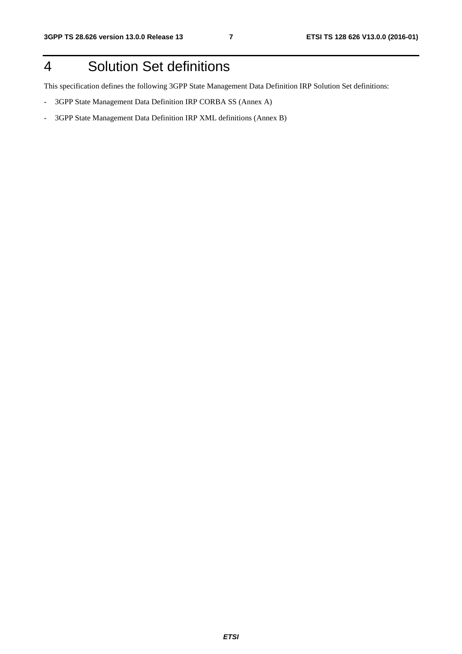## 4 Solution Set definitions

This specification defines the following 3GPP State Management Data Definition IRP Solution Set definitions:

- 3GPP State Management Data Definition IRP CORBA SS (Annex A)
- 3GPP State Management Data Definition IRP XML definitions (Annex B)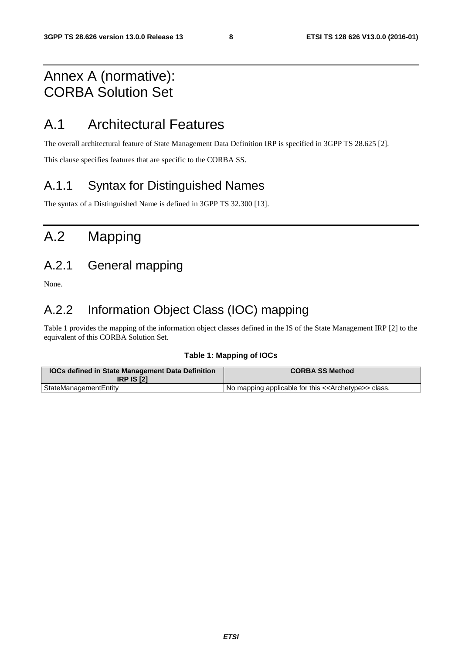#### Annex A (normative): CORBA Solution Set

#### A.1 Architectural Features

The overall architectural feature of State Management Data Definition IRP is specified in 3GPP TS 28.625 [2].

This clause specifies features that are specific to the CORBA SS.

#### A.1.1 Syntax for Distinguished Names

The syntax of a Distinguished Name is defined in 3GPP TS 32.300 [13].

## A.2 Mapping

#### A.2.1 General mapping

None.

#### A.2.2 Information Object Class (IOC) mapping

Table 1 provides the mapping of the information object classes defined in the IS of the State Management IRP [2] to the equivalent of this CORBA Solution Set.

#### **Table 1: Mapping of IOCs**

| <b>IOCs defined in State Management Data Definition</b><br><b>IRP IS [2]</b> | <b>CORBA SS Method</b>                                              |
|------------------------------------------------------------------------------|---------------------------------------------------------------------|
| StateManagementEntity                                                        | No mapping applicable for this < <archetype>&gt; class.</archetype> |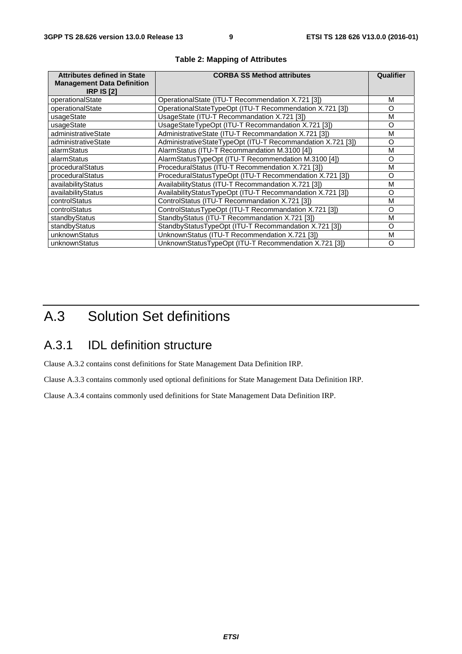| <b>Attributes defined in State</b><br><b>Management Data Definition</b><br><b>IRP IS [2]</b> | <b>CORBA SS Method attributes</b>                           | Qualifier |
|----------------------------------------------------------------------------------------------|-------------------------------------------------------------|-----------|
| operationalState                                                                             | OperationalState (ITU-T Recommendation X.721 [3])           | м         |
| operationalState                                                                             | OperationalStateTypeOpt (ITU-T Recommendation X.721 [3])    | O         |
| usageState                                                                                   | UsageState (ITU-T Recommandation X.721 [3])                 | М         |
| usageState                                                                                   | UsageStateTypeOpt (ITU-T Recommandation X.721 [3])          | O         |
| administrativeState                                                                          | AdministrativeState (ITU-T Recommandation X.721 [3])        | М         |
| administrativeState                                                                          | AdministrativeStateTypeOpt (ITU-T Recommandation X.721 [3]) | O         |
| alarmStatus                                                                                  | AlarmStatus (ITU-T Recommandation M.3100 [4])               | М         |
| alarmStatus                                                                                  | AlarmStatusTypeOpt (ITU-T Recommendation M.3100 [4])        | O         |
| proceduralStatus                                                                             | ProceduralStatus (ITU-T Recommendation X.721 [3])           | м         |
| proceduralStatus                                                                             | ProceduralStatusTypeOpt (ITU-T Recommendation X.721 [3])    | $\Omega$  |
| availabilityStatus                                                                           | AvailabilityStatus (ITU-T Recommandation X.721 [3])         | м         |
| availabilityStatus                                                                           | AvailabilityStatusTypeOpt (ITU-T Recommandation X.721 [3])  | O         |
| controlStatus                                                                                | ControlStatus (ITU-T Recommandation X.721 [3])              | М         |
| controlStatus                                                                                | ControlStatusTypeOpt (ITU-T Recommandation X.721 [3])       | O         |
| standbyStatus                                                                                | StandbyStatus (ITU-T Recommandation X.721 [3])              | м         |
| standbyStatus                                                                                | StandbyStatusTypeOpt (ITU-T Recommandation X.721 [3])       | O         |
| unknownStatus                                                                                | UnknownStatus (ITU-T Recommendation X.721 [3])              | М         |
| unknownStatus                                                                                | UnknownStatusTypeOpt (ITU-T Recommendation X.721 [3])       | O         |

#### **Table 2: Mapping of Attributes**

## A.3 Solution Set definitions

#### A.3.1 IDL definition structure

Clause A.3.2 contains const definitions for State Management Data Definition IRP.

Clause A.3.3 contains commonly used optional definitions for State Management Data Definition IRP.

Clause A.3.4 contains commonly used definitions for State Management Data Definition IRP.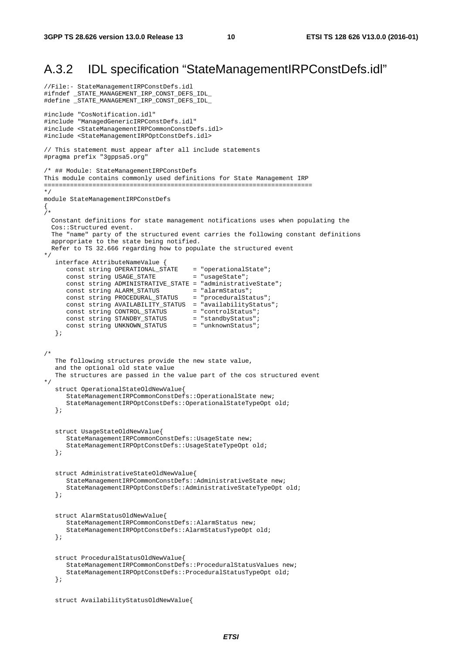#### A.3.2 IDL specification "StateManagementIRPConstDefs.idl"

```
//File:- StateManagementIRPConstDefs.idl 
#ifndef _STATE_MANAGEMENT_IRP_CONST_DEFS_IDL_ 
#define _STATE_MANAGEMENT_IRP_CONST_DEFS_IDL_ 
#include "CosNotification.idl" 
#include "ManagedGenericIRPConstDefs.idl" 
#include <StateManagementIRPCommonConstDefs.idl> 
#include <StateManagementIRPOptConstDefs.idl> 
// This statement must appear after all include statements 
#pragma prefix "3gppsa5.org" 
/* ## Module: StateManagementIRPConstDefs 
This module contains commonly used definitions for State Management IRP 
======================================================================== 
*/ 
module StateManagementIRPConstDefs 
{ 
/* 
   Constant definitions for state management notifications uses when populating the 
   Cos::Structured event. 
   The "name" party of the structured event carries the following constant definitions 
   appropriate to the state being notified. 
   Refer to TS 32.666 regarding how to populate the structured event 
*/ 
    interface AttributeNameValue { 
 const string OPERATIONAL_STATE = "operationalState"; 
const string USAGE_STATE = "usageState";
       const string ADMINISTRATIVE_STATE = "administrativeState"; 
      const string ALARM_STATUS = "alarmStatus";
      const string PROCEDURAL_STATUS = "proceduralStatus";
       const string AVAILABILITY_STATUS = "availabilityStatus"; 
      const string CONTROL_STATUS = "controlStatus";<br>
const string STANDBY_STATUS = "standbyStatus";<br>
const string UNKNOWN_STATUS = "unknownStatus";
      const string STANDBY_STATUS
      const string UNKNOWN_STATUS
    }; 
/* 
    The following structures provide the new state value, 
    and the optional old state value 
    The structures are passed in the value part of the cos structured event 
*/ 
    struct OperationalStateOldNewValue{ 
       StateManagementIRPCommonConstDefs::OperationalState new; 
       StateManagementIRPOptConstDefs::OperationalStateTypeOpt old; 
    }; 
    struct UsageStateOldNewValue{ 
       StateManagementIRPCommonConstDefs::UsageState new; 
       StateManagementIRPOptConstDefs::UsageStateTypeOpt old; 
    }; 
    struct AdministrativeStateOldNewValue{ 
       StateManagementIRPCommonConstDefs::AdministrativeState new; 
       StateManagementIRPOptConstDefs::AdministrativeStateTypeOpt old; 
    }; 
    struct AlarmStatusOldNewValue{ 
       StateManagementIRPCommonConstDefs::AlarmStatus new; 
       StateManagementIRPOptConstDefs::AlarmStatusTypeOpt old; 
    }; 
    struct ProceduralStatusOldNewValue{ 
       StateManagementIRPCommonConstDefs::ProceduralStatusValues new; 
       StateManagementIRPOptConstDefs::ProceduralStatusTypeOpt old; 
    }; 
    struct AvailabilityStatusOldNewValue{
```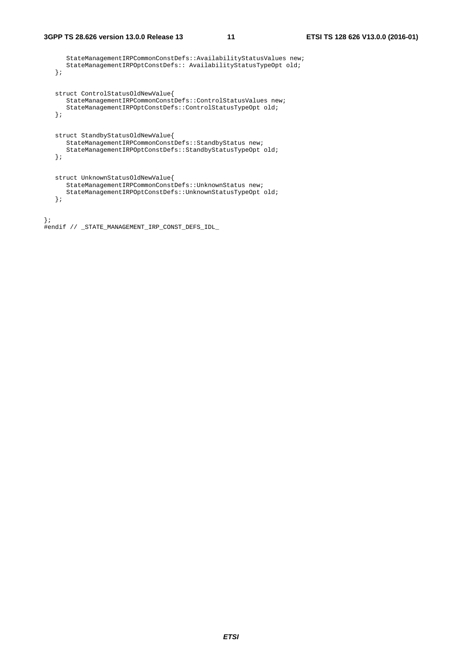StateManagementIRPCommonConstDefs::AvailabilityStatusValues new; StateManagementIRPOptConstDefs:: AvailabilityStatusTypeOpt old; }; struct ControlStatusOldNewValue{ StateManagementIRPCommonConstDefs::ControlStatusValues new; StateManagementIRPOptConstDefs::ControlStatusTypeOpt old; }; struct StandbyStatusOldNewValue{ StateManagementIRPCommonConstDefs::StandbyStatus new; StateManagementIRPOptConstDefs::StandbyStatusTypeOpt old; }; struct UnknownStatusOldNewValue{ StateManagementIRPCommonConstDefs::UnknownStatus new; StateManagementIRPOptConstDefs::UnknownStatusTypeOpt old; }; };

#endif // \_STATE\_MANAGEMENT\_IRP\_CONST\_DEFS\_IDL\_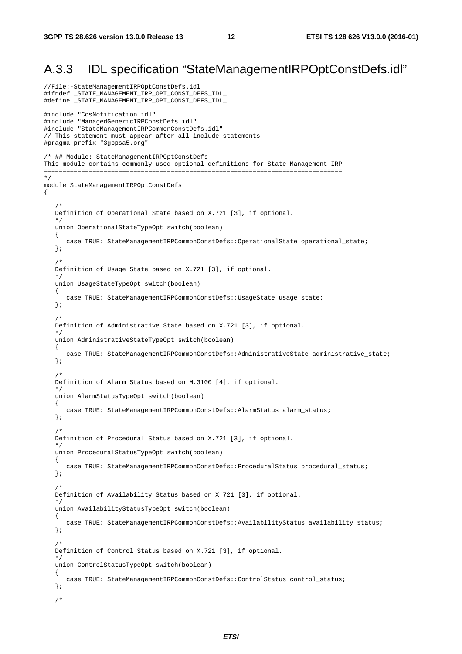#### A.3.3 IDL specification "StateManagementIRPOptConstDefs.idl"

```
//File:-StateManagementIRPOptConstDefs.idl 
#ifndef _STATE_MANAGEMENT_IRP_OPT_CONST_DEFS_IDL_ 
#define _STATE_MANAGEMENT_IRP_OPT_CONST_DEFS_IDL_ 
#include "CosNotification.idl" 
#include "ManagedGenericIRPConstDefs.idl" 
#include "StateManagementIRPCommonConstDefs.idl" 
// This statement must appear after all include statements 
#pragma prefix "3gppsa5.org" 
/* ## Module: StateManagementIRPOptConstDefs 
This module contains commonly used optional definitions for State Management IRP 
================================================================================ 
*/ 
module StateManagementIRPOptConstDefs 
{ 
    /* 
    Definition of Operational State based on X.721 [3], if optional. 
    */ 
    union OperationalStateTypeOpt switch(boolean) 
    { 
       case TRUE: StateManagementIRPCommonConstDefs::OperationalState operational_state; 
    }; 
/ *
   Definition of Usage State based on X.721 [3], if optional. 
 */ 
    union UsageStateTypeOpt switch(boolean) 
    { 
       case TRUE: StateManagementIRPCommonConstDefs::UsageState usage_state; 
    }; 
    /* 
   Definition of Administrative State based on X.721 [3], if optional. 
    */ 
    union AdministrativeStateTypeOpt switch(boolean) 
    { 
       case TRUE: StateManagementIRPCommonConstDefs::AdministrativeState administrative_state; 
    }; 
/ *
   Definition of Alarm Status based on M.3100 [4], if optional. 
 */ 
    union AlarmStatusTypeOpt switch(boolean) 
    { 
       case TRUE: StateManagementIRPCommonConstDefs::AlarmStatus alarm_status; 
    }; 
    /* 
   Definition of Procedural Status based on X.721 [3], if optional. 
 */ 
    union ProceduralStatusTypeOpt switch(boolean) 
    { 
      case TRUE: StateManagementIRPCommonConstDefs::ProceduralStatus procedural_status;
    }; 
    /* 
    Definition of Availability Status based on X.721 [3], if optional. 
 */ 
    union AvailabilityStatusTypeOpt switch(boolean) 
    { 
       case TRUE: StateManagementIRPCommonConstDefs::AvailabilityStatus availability_status; 
    }; 
    /* 
    Definition of Control Status based on X.721 [3], if optional. 
 */ 
    union ControlStatusTypeOpt switch(boolean) 
    { 
       case TRUE: StateManagementIRPCommonConstDefs::ControlStatus control_status; 
    }; 
    /*
```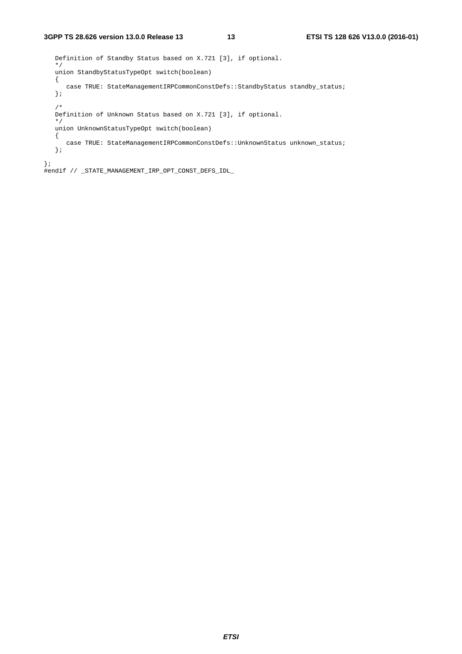Definition of Standby Status based on X.721 [3], if optional. \*/ union StandbyStatusTypeOpt switch(boolean) { case TRUE: StateManagementIRPCommonConstDefs::StandbyStatus standby\_status; }; /\* Definition of Unknown Status based on X.721 [3], if optional. \*/ union UnknownStatusTypeOpt switch(boolean) { case TRUE: StateManagementIRPCommonConstDefs::UnknownStatus unknown\_status; }; };

#endif // \_STATE\_MANAGEMENT\_IRP\_OPT\_CONST\_DEFS\_IDL\_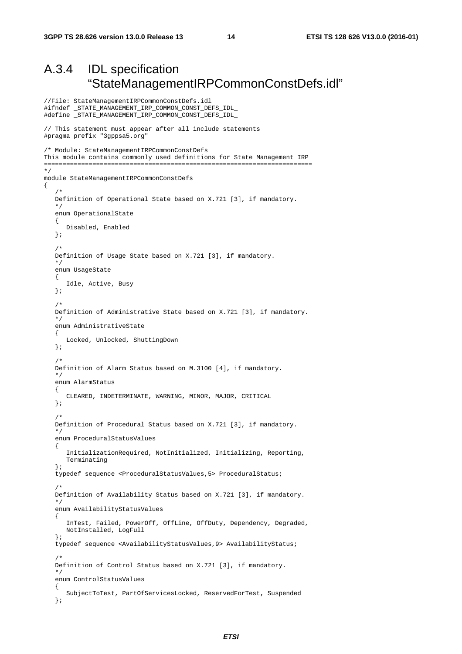//File: StateManagementIRPCommonConstDefs.idl

#### A.3.4 IDL specification "StateManagementIRPCommonConstDefs.idl"

```
#ifndef _STATE_MANAGEMENT_IRP_COMMON_CONST_DEFS_IDL_ 
#define _STATE_MANAGEMENT_IRP_COMMON_CONST_DEFS_IDL_ 
// This statement must appear after all include statements 
#pragma prefix "3gppsa5.org" 
/* Module: StateManagementIRPCommonConstDefs 
This module contains commonly used definitions for State Management IRP 
======================================================================== 
*/ 
module StateManagementIRPCommonConstDefs 
{ 
/ *
    Definition of Operational State based on X.721 [3], if mandatory. 
    */ 
    enum OperationalState 
    { 
       Disabled, Enabled 
    }; 
    /* 
    Definition of Usage State based on X.721 [3], if mandatory. 
    */ 
    enum UsageState 
    { 
       Idle, Active, Busy 
    }; 
    /* 
    Definition of Administrative State based on X.721 [3], if mandatory. 
    */ 
    enum AdministrativeState 
    { 
       Locked, Unlocked, ShuttingDown 
    }; 
    /* 
    Definition of Alarm Status based on M.3100 [4], if mandatory. 
 */ 
    enum AlarmStatus 
    { 
       CLEARED, INDETERMINATE, WARNING, MINOR, MAJOR, CRITICAL 
    }; 
   /*
    Definition of Procedural Status based on X.721 [3], if mandatory. 
 */ 
    enum ProceduralStatusValues 
    { 
       InitializationRequired, NotInitialized, Initializing, Reporting, 
       Terminating 
    }; 
    typedef sequence <ProceduralStatusValues,5> ProceduralStatus; 
    /* 
    Definition of Availability Status based on X.721 [3], if mandatory. 
    */ 
    enum AvailabilityStatusValues 
   \left\{ \right. InTest, Failed, PowerOff, OffLine, OffDuty, Dependency, Degraded, 
       NotInstalled, LogFull 
    }; 
    typedef sequence <AvailabilityStatusValues,9> AvailabilityStatus; 
    /* 
    Definition of Control Status based on X.721 [3], if mandatory. 
    */ 
    enum ControlStatusValues 
    { 
       SubjectToTest, PartOfServicesLocked, ReservedForTest, Suspended 
    };
```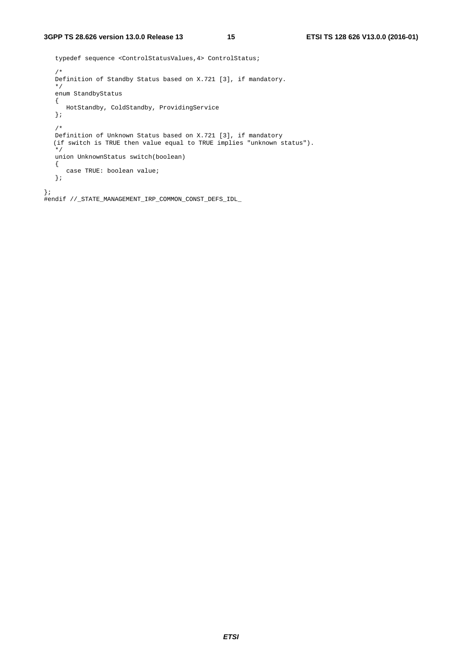```
 typedef sequence <ControlStatusValues,4> ControlStatus; 
    /* 
   Definition of Standby Status based on X.721 [3], if mandatory. 
    */ 
    enum StandbyStatus 
    { 
      HotStandby, ColdStandby, ProvidingService 
    }; 
    /* 
 Definition of Unknown Status based on X.721 [3], if mandatory 
 (if switch is TRUE then value equal to TRUE implies "unknown status"). 
    */ 
   union UnknownStatus switch(boolean) 
    { 
      case TRUE: boolean value; 
    }; 
}; 
#endif //_STATE_MANAGEMENT_IRP_COMMON_CONST_DEFS_IDL_
```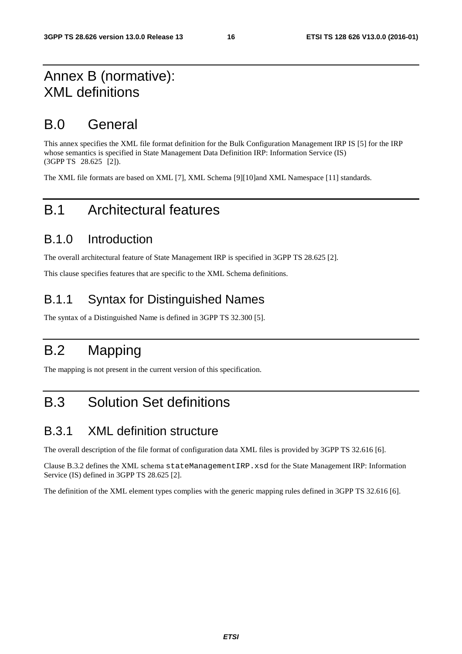#### Annex B (normative): XML definitions

#### B.0 General

This annex specifies the XML file format definition for the Bulk Configuration Management IRP IS [5] for the IRP whose semantics is specified in State Management Data Definition IRP: Information Service (IS) (3GPP TS 28.625 [2]).

The XML file formats are based on XML [7], XML Schema [9][10]and XML Namespace [11] standards.

#### B.1 Architectural features

#### B.1.0 Introduction

The overall architectural feature of State Management IRP is specified in 3GPP TS 28.625 [2].

This clause specifies features that are specific to the XML Schema definitions.

#### B.1.1 Syntax for Distinguished Names

The syntax of a Distinguished Name is defined in 3GPP TS 32.300 [5].

## B.2 Mapping

The mapping is not present in the current version of this specification.

#### B.3 Solution Set definitions

#### B.3.1 XML definition structure

The overall description of the file format of configuration data XML files is provided by 3GPP TS 32.616 [6].

Clause B.3.2 defines the XML schema stateManagementIRP.xsd for the State Management IRP: Information Service (IS) defined in 3GPP TS 28.625 [2].

The definition of the XML element types complies with the generic mapping rules defined in 3GPP TS 32.616 [6].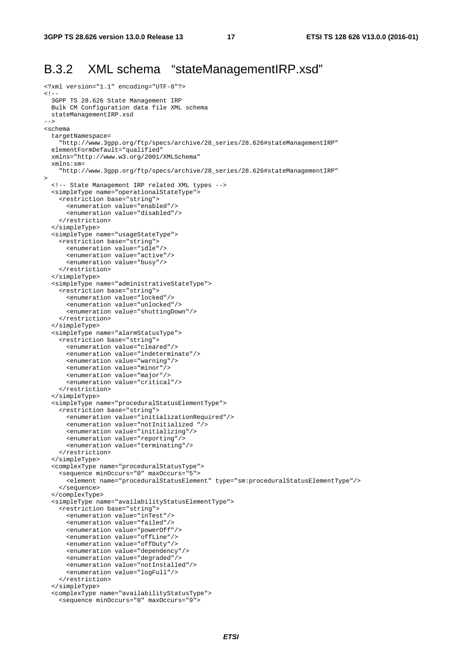#### B.3.2 XML schema "stateManagementIRP.xsd"

```
<?xml version="1.1" encoding="UTF-8"?> 
\leq ! - 3GPP TS 28.626 State Management IRP 
  Bulk CM Configuration data file XML schema 
   stateManagementIRP.xsd 
--> 
<schema 
   targetNamespace= 
     "http://www.3gpp.org/ftp/specs/archive/28_series/28.626#stateManagementIRP" 
   elementFormDefault="qualified" 
   xmlns="http://www.w3.org/2001/XMLSchema" 
   xmlns:sm= 
     "http://www.3gpp.org/ftp/specs/archive/28_series/28.626#stateManagementIRP" 
> 
   <!-- State Management IRP related XML types --> 
   <simpleType name="operationalStateType"> 
     <restriction base="string"> 
       <enumeration value="enabled"/> 
       <enumeration value="disabled"/> 
     </restriction> 
   </simpleType> 
   <simpleType name="usageStateType"> 
     <restriction base="string"> 
       <enumeration value="idle"/> 
       <enumeration value="active"/> 
       <enumeration value="busy"/> 
     </restriction> 
   </simpleType> 
   <simpleType name="administrativeStateType"> 
     <restriction base="string"> 
       <enumeration value="locked"/> 
       <enumeration value="unlocked"/> 
       <enumeration value="shuttingDown"/> 
     </restriction> 
   </simpleType> 
   <simpleType name="alarmStatusType"> 
     <restriction base="string"> 
       <enumeration value="cleared"/> 
       <enumeration value="indeterminate"/> 
       <enumeration value="warning"/> 
       <enumeration value="minor"/> 
       <enumeration value="major"/> 
       <enumeration value="critical"/> 
     </restriction> 
   </simpleType> 
   <simpleType name="proceduralStatusElementType"> 
     <restriction base="string"> 
       <enumeration value="initializationRequired"/> 
       <enumeration value="notInitialized "/> 
       <enumeration value="initializing"/> 
       <enumeration value="reporting"/> 
       <enumeration value="terminating"/> 
     </restriction> 
   </simpleType> 
   <complexType name="proceduralStatusType"> 
     <sequence minOccurs="0" maxOccurs="5"> 
       <element name="proceduralStatusElement" type="sm:proceduralStatusElementType"/> 
     </sequence> 
   </complexType> 
   <simpleType name="availabilityStatusElementType"> 
     <restriction base="string"> 
       <enumeration value="inTest"/> 
       <enumeration value="failed"/> 
       <enumeration value="powerOff"/> 
       <enumeration value="offLine"/> 
       <enumeration value="offDuty"/> 
       <enumeration value="dependency"/> 
       <enumeration value="degraded"/> 
       <enumeration value="notInstalled"/> 
       <enumeration value="logFull"/> 
     </restriction> 
   </simpleType> 
   <complexType name="availabilityStatusType"> 
     <sequence minOccurs="0" maxOccurs="9">
```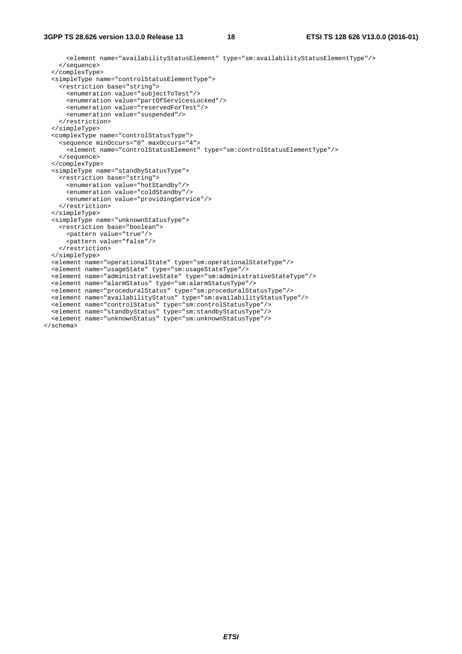<element name="availabilityStatusElement" type="sm:availabilityStatusElementType"/> </sequence> </complexType> <simpleType name="controlStatusElementType"> <restriction base="string"> <enumeration value="subjectToTest"/> <enumeration value="partOfServicesLocked"/> <enumeration value="reservedForTest"/> <enumeration value="suspended"/> </restriction> </simpleType> <complexType name="controlStatusType"> <sequence minOccurs="0" maxOccurs="4"> <element name="controlStatusElement" type="sm:controlStatusElementType"/> </sequence> </complexType> <simpleType name="standbyStatusType"> <restriction base="string"> <enumeration value="hotStandby"/> <enumeration value="coldStandby"/> <enumeration value="providingService"/> </restriction> </simpleType> <simpleType name="unknownStatusType"> <restriction base="boolean"> <pattern value="true"/> <pattern value="false"/> </restriction> </simpleType> <element name="operationalState" type="sm:operationalStateType"/> <element name="usageState" type="sm:usageStateType"/> <element name="administrativeState" type="sm:administrativeStateType"/> <element name="alarmStatus" type="sm:alarmStatusType"/> <element name="proceduralStatus" type="sm:proceduralStatusType"/> <element name="availabilityStatus" type="sm:availabilityStatusType"/> <element name="controlStatus" type="sm:controlStatusType"/> <element name="standbyStatus" type="sm:standbyStatusType"/> <element name="unknownStatus" type="sm:unknownStatusType"/> </schema>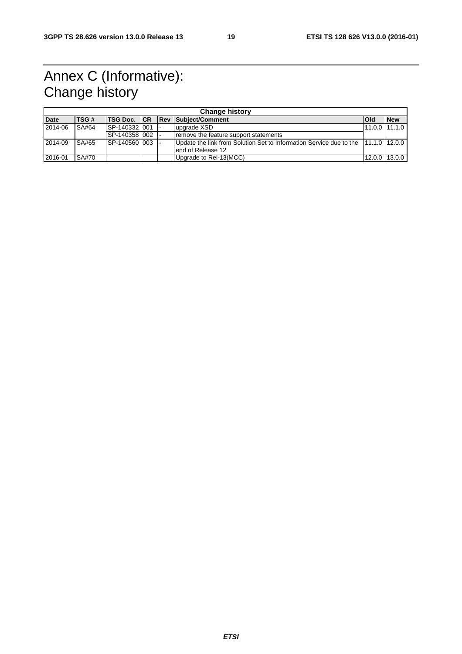### Annex C (Informative): Change history

| <b>Change history</b> |              |                 |  |  |                                                                                   |                |            |
|-----------------------|--------------|-----------------|--|--|-----------------------------------------------------------------------------------|----------------|------------|
| <b>Date</b>           | <b>ITSG#</b> |                 |  |  | <b>TSG Doc. CR Rev Subject/Comment</b>                                            | lOld           | <b>New</b> |
| 2014-06               | SA#64        | SP-1403321001   |  |  | upgrade XSD                                                                       | 11.0.0 111.1.0 |            |
|                       |              | SP-1403581002 1 |  |  | remove the feature support statements                                             |                |            |
| 2014-09               | <b>SA#65</b> | SP-140560 003   |  |  | Update the link from Solution Set to Information Service due to the 11.1.0 12.0.0 |                |            |
|                       |              |                 |  |  | lend of Release 12                                                                |                |            |
| 2016-01               | SA#70        |                 |  |  | Upgrade to Rel-13(MCC)                                                            | 12.0.0 13.0.0  |            |